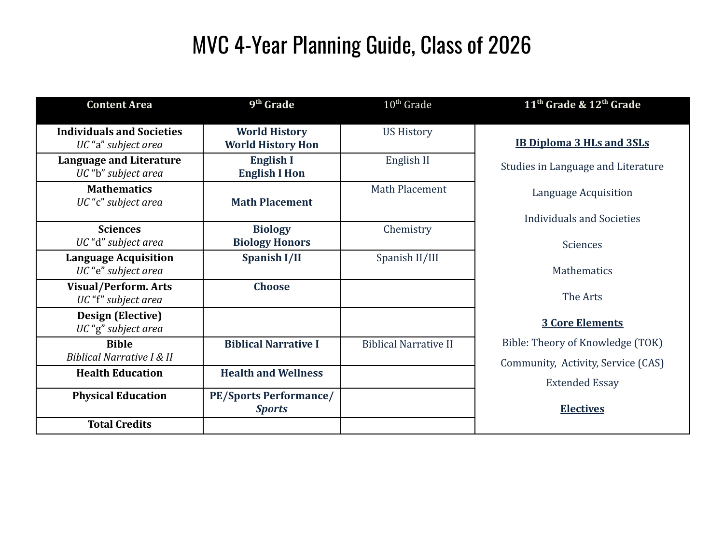# MVC 4-Year Planning Guide, Class of 2026

| <b>Content Area</b>                                     | 9 <sup>th</sup> Grade                            | $10th$ Grade                 | 11 <sup>th</sup> Grade & 12 <sup>th</sup> Grade                        |
|---------------------------------------------------------|--------------------------------------------------|------------------------------|------------------------------------------------------------------------|
| <b>Individuals and Societies</b><br>UC "a" subject area | <b>World History</b><br><b>World History Hon</b> | <b>US History</b>            | <b>IB Diploma 3 HLs and 3SLs</b>                                       |
| <b>Language and Literature</b><br>UC "b" subject area   | English I<br><b>English I Hon</b>                | English II                   | Studies in Language and Literature                                     |
| <b>Mathematics</b><br>UC "c" subject area               | <b>Math Placement</b>                            | Math Placement               | Language Acquisition                                                   |
| <b>Sciences</b><br>UC "d" subject area                  | <b>Biology</b><br><b>Biology Honors</b>          | Chemistry                    | Individuals and Societies<br><b>Sciences</b>                           |
| <b>Language Acquisition</b><br>UC "e" subject area      | Spanish I/II                                     | Spanish II/III               | Mathematics                                                            |
| <b>Visual/Perform. Arts</b><br>UC "f" subject area      | <b>Choose</b>                                    |                              | The Arts                                                               |
| <b>Design (Elective)</b><br>UC "g" subject area         |                                                  |                              | <b>3 Core Elements</b>                                                 |
| <b>Bible</b><br>Biblical Narrative I & II               | <b>Biblical Narrative I</b>                      | <b>Biblical Narrative II</b> | Bible: Theory of Knowledge (TOK)<br>Community, Activity, Service (CAS) |
| <b>Health Education</b>                                 | <b>Health and Wellness</b>                       |                              | <b>Extended Essay</b>                                                  |
| <b>Physical Education</b>                               | <b>PE/Sports Performance/</b><br><b>Sports</b>   |                              | <b>Electives</b>                                                       |
| <b>Total Credits</b>                                    |                                                  |                              |                                                                        |